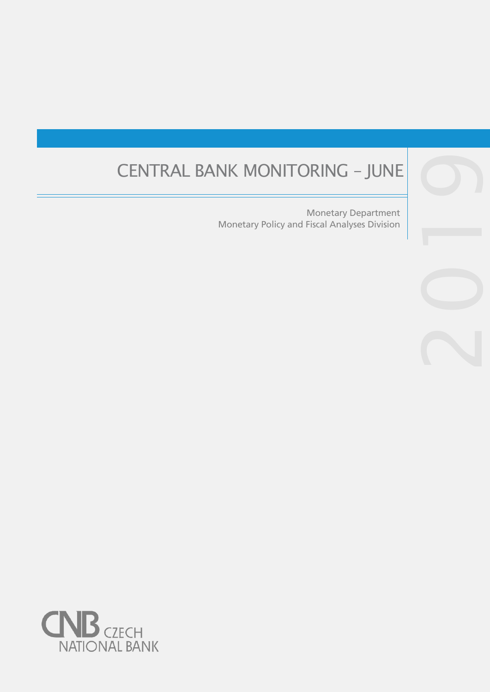# CENTRAL BANK MONITORING – JUNE

Monetary Policy and Fiscal Analyses Division Monetary Department

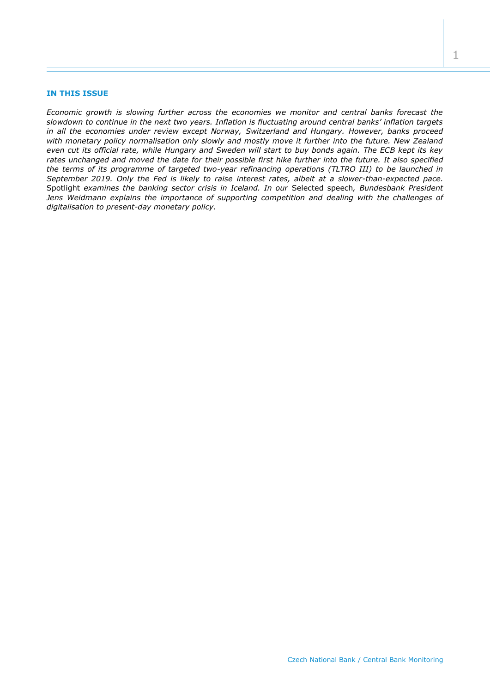## **IN THIS ISSUE**

*Economic growth is slowing further across the economies we monitor and central banks forecast the slowdown to continue in the next two years. Inflation is fluctuating around central banks' inflation targets in all the economies under review except Norway, Switzerland and Hungary. However, banks proceed with monetary policy normalisation only slowly and mostly move it further into the future. New Zealand even cut its official rate, while Hungary and Sweden will start to buy bonds again. The ECB kept its key rates unchanged and moved the date for their possible first hike further into the future. It also specified the terms of its programme of targeted two-year refinancing operations (TLTRO III) to be launched in September 2019. Only the Fed is likely to raise interest rates, albeit at a slower-than-expected pace.*  Spotlight *examines the banking sector crisis in Iceland. In our* Selected speech*, Bundesbank President Jens Weidmann explains the importance of supporting competition and dealing with the challenges of digitalisation to present-day monetary policy.*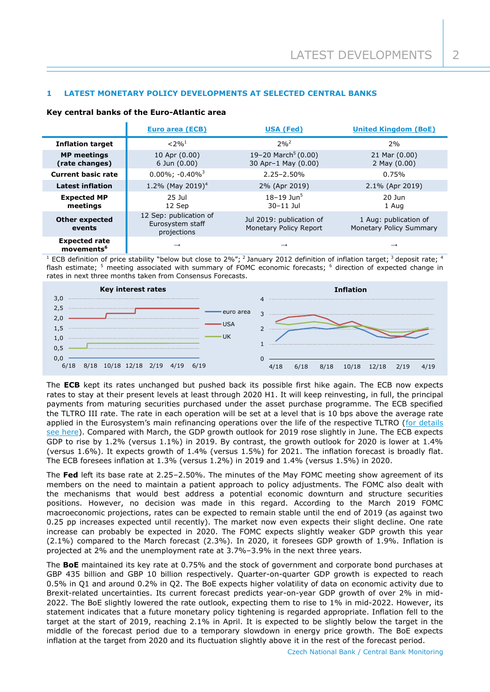# **1 LATEST MONETARY POLICY DEVELOPMENTS AT SELECTED CENTRAL BANKS**

#### **Key central banks of the Euro-Atlantic area**

|                                                | <b>Euro area (ECB)</b>                                    | <b>USA (Fed)</b>                                       | <b>United Kingdom (BoE)</b>                      |
|------------------------------------------------|-----------------------------------------------------------|--------------------------------------------------------|--------------------------------------------------|
| <b>Inflation target</b>                        | $< 2\%$ <sup>1</sup>                                      | $2%^{2}$                                               | 2%                                               |
| <b>MP</b> meetings<br>(rate changes)           | 10 Apr (0.00)<br>$6$ Jun $(0.00)$                         | 19-20 March <sup>5</sup> (0.00)<br>30 Apr-1 May (0.00) | 21 Mar (0.00)<br>2 May (0.00)                    |
| <b>Current basic rate</b>                      | $0.00\%$ ; $-0.40\%$ <sup>3</sup>                         | $2.25 - 2.50\%$                                        | 0.75%                                            |
| <b>Latest inflation</b>                        | 1.2% (May 2019) <sup>4</sup>                              | 2% (Apr 2019)                                          | 2.1% (Apr 2019)                                  |
| <b>Expected MP</b><br>meetings                 | 25 Jul<br>12 Sep                                          | $18 - 19$ Jun <sup>5</sup><br>$30 - 11$ Jul            | $20$ Jun<br>1 Aug                                |
| <b>Other expected</b><br>events                | 12 Sep: publication of<br>Eurosystem staff<br>projections | Jul 2019: publication of<br>Monetary Policy Report     | 1 Aug: publication of<br>Monetary Policy Summary |
| <b>Expected rate</b><br>movements <sup>6</sup> | $\rightarrow$                                             | $\rightarrow$                                          | $\rightarrow$                                    |

<sup>1</sup> ECB definition of price stability "below but close to 2%"; <sup>2</sup> January 2012 definition of inflation target; <sup>3</sup> deposit rate; <sup>4</sup> flash estimate; <sup>5</sup> meeting associated with summary of FOMC economic forecasts; <sup>6</sup> direction of expected change in rates in next three months taken from Consensus Forecasts.



The **ECB** kept its rates unchanged but pushed back its possible first hike again. The ECB now expects rates to stay at their present levels at least through 2020 H1. It will keep reinvesting, in full, the principal payments from maturing securities purchased under the asset purchase programme. The ECB specified the TLTRO III rate. The rate in each operation will be set at a level that is 10 bps above the average rate applied in the Eurosystem's main refinancing operations over the life of the respective TLTRO (for details [see here\)](https://www.ecb.europa.eu/press/pr/date/2019/html/ecb.pr190606~d1b6e3247d.en.html). Compared with March, the GDP growth outlook for 2019 rose slightly in June. The ECB expects GDP to rise by 1.2% (versus 1.1%) in 2019. By contrast, the growth outlook for 2020 is lower at 1.4% (versus 1.6%). It expects growth of 1.4% (versus 1.5%) for 2021. The inflation forecast is broadly flat. The ECB foresees inflation at 1.3% (versus 1.2%) in 2019 and 1.4% (versus 1.5%) in 2020.

The **Fed** left its base rate at 2.25–2.50%. The minutes of the May FOMC meeting show agreement of its members on the need to maintain a patient approach to policy adjustments. The FOMC also dealt with the mechanisms that would best address a potential economic downturn and structure securities positions. However, no decision was made in this regard. According to the March 2019 FOMC macroeconomic projections, rates can be expected to remain stable until the end of 2019 (as against two 0.25 pp increases expected until recently). The market now even expects their slight decline. One rate increase can probably be expected in 2020. The FOMC expects slightly weaker GDP growth this year (2.1%) compared to the March forecast (2.3%). In 2020, it foresees GDP growth of 1.9%. Inflation is projected at 2% and the unemployment rate at 3.7%–3.9% in the next three years.

The **BoE** maintained its key rate at 0.75% and the stock of government and corporate bond purchases at GBP 435 billion and GBP 10 billion respectively. Quarter-on-quarter GDP growth is expected to reach 0.5% in Q1 and around 0.2% in Q2. The BoE expects higher volatility of data on economic activity due to Brexit-related uncertainties. Its current forecast predicts year-on-year GDP growth of over 2% in mid-2022. The BoE slightly lowered the rate outlook, expecting them to rise to 1% in mid-2022. However, its statement indicates that a future monetary policy tightening is regarded appropriate. Inflation fell to the target at the start of 2019, reaching 2.1% in April. It is expected to be slightly below the target in the middle of the forecast period due to a temporary slowdown in energy price growth. The BoE expects inflation at the target from 2020 and its fluctuation slightly above it in the rest of the forecast period.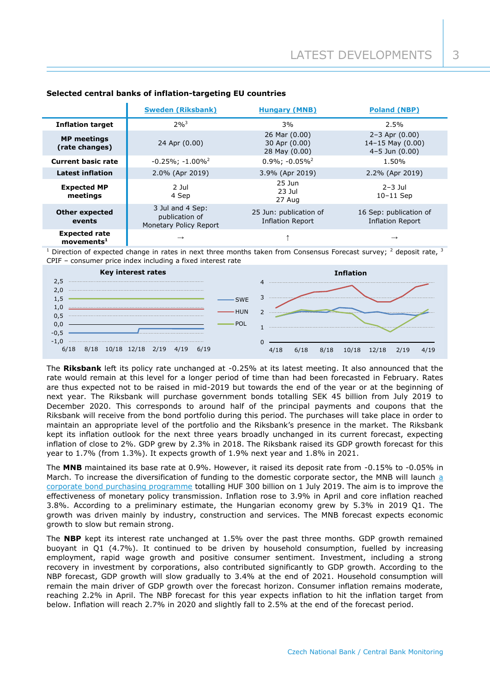|                                                  | <b>Sweden (Riksbank)</b>                                         | <b>Hungary (MNB)</b>                              | <b>Poland (NBP)</b>                                                |
|--------------------------------------------------|------------------------------------------------------------------|---------------------------------------------------|--------------------------------------------------------------------|
| <b>Inflation target</b>                          | $2\%^{3}$                                                        | 3%                                                | $2.5\%$                                                            |
| <b>MP</b> meetings<br>(rate changes)             | 26 Mar (0.00)<br>30 Apr (0.00)<br>24 Apr (0.00)<br>28 May (0.00) |                                                   | $2 - 3$ Apr $(0.00)$<br>14-15 May $(0.00)$<br>$4 - 5$ Jun $(0.00)$ |
| <b>Current basic rate</b>                        | $-0.25\%$ ; $-1.00\%$ <sup>2</sup>                               | $0.9\%$ : $-0.05\%$ <sup>2</sup>                  | 1.50%                                                              |
| <b>Latest inflation</b>                          | 2.0% (Apr 2019)                                                  | 3.9% (Apr 2019)                                   | 2.2% (Apr 2019)                                                    |
| <b>Expected MP</b><br>meetings                   | $2$ Jul<br>4 Sep                                                 | $25$ Jun<br>$23$ Jul<br>27 Aug                    | $2-3$ Jul<br>$10-11$ Sep                                           |
| <b>Other expected</b><br>events                  | 3 Jul and 4 Sep:<br>publication of<br>Monetary Policy Report     | 25 Jun: publication of<br><b>Inflation Report</b> | 16 Sep: publication of<br><b>Inflation Report</b>                  |
| <b>Expected rate</b><br>$move$ mnts <sup>1</sup> | $\rightarrow$                                                    |                                                   | $\rightarrow$                                                      |

# **Selected central banks of inflation-targeting EU countries**

<sup>1</sup> Direction of expected change in rates in next three months taken from Consensus Forecast survey;  $^2$  deposit rate,  $^3$ CPIF – consumer price index including a fixed interest rate



The **Riksbank** left its policy rate unchanged at -0.25% at its latest meeting. It also announced that the rate would remain at this level for a longer period of time than had been forecasted in February. Rates are thus expected not to be raised in mid-2019 but towards the end of the year or at the beginning of next year. The Riksbank will purchase government bonds totalling SEK 45 billion from July 2019 to December 2020. This corresponds to around half of the principal payments and coupons that the Riksbank will receive from the bond portfolio during this period. The purchases will take place in order to maintain an appropriate level of the portfolio and the Riksbank's presence in the market. The Riksbank kept its inflation outlook for the next three years broadly unchanged in its current forecast, expecting inflation of close to 2%. GDP grew by 2.3% in 2018. The Riksbank raised its GDP growth forecast for this year to 1.7% (from 1.3%). It expects growth of 1.9% next year and 1.8% in 2021.

The **MNB** maintained its base rate at 0.9%. However, it raised its deposit rate from -0.15% to -0.05% in March. To increase the diversification of funding to the domestic corporate sector, the MNB will launch a [corporate bond purchasing programme](https://www.mnb.hu/en/monetary-policy/the-monetary-council/press-releases/2019/press-release-on-the-monetary-council-meeting-of-28-may-2019) totalling HUF 300 billion on 1 July 2019. The aim is to improve the effectiveness of monetary policy transmission. Inflation rose to 3.9% in April and core inflation reached 3.8%. According to a preliminary estimate, the Hungarian economy grew by 5.3% in 2019 Q1. The growth was driven mainly by industry, construction and services. The MNB forecast expects economic growth to slow but remain strong.

The **NBP** kept its interest rate unchanged at 1.5% over the past three months. GDP growth remained buoyant in Q1 (4.7%). It continued to be driven by household consumption, fuelled by increasing employment, rapid wage growth and positive consumer sentiment. Investment, including a strong recovery in investment by corporations, also contributed significantly to GDP growth. According to the NBP forecast, GDP growth will slow gradually to 3.4% at the end of 2021. Household consumption will remain the main driver of GDP growth over the forecast horizon. Consumer inflation remains moderate, reaching 2.2% in April. The NBP forecast for this year expects inflation to hit the inflation target from below. Inflation will reach 2.7% in 2020 and slightly fall to 2.5% at the end of the forecast period.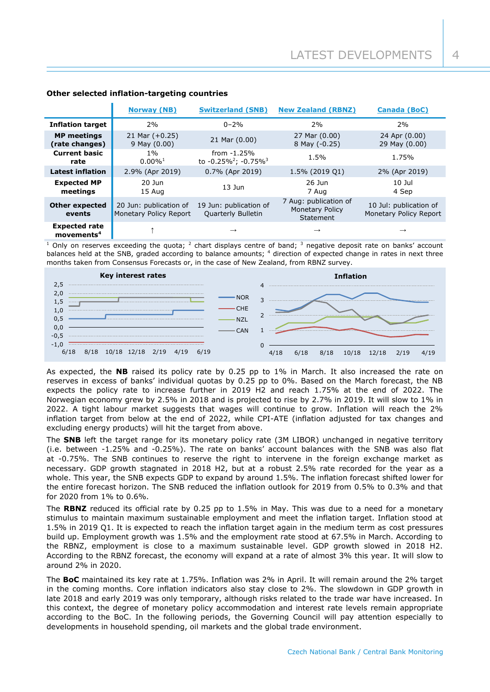|                                                       | <b>Norway (NB)</b>                               | <b>Switzerland (SNB)</b>                      | <b>New Zealand (RBNZ)</b>                                    | <b>Canada (BoC)</b>                              |
|-------------------------------------------------------|--------------------------------------------------|-----------------------------------------------|--------------------------------------------------------------|--------------------------------------------------|
| <b>Inflation target</b>                               | 2%                                               | $0 - 2%$                                      | 2%                                                           | 2%                                               |
| <b>MP</b> meetings<br>(rate changes)                  | 21 Mar $(+0.25)$<br>$9$ May $(0.00)$             | 21 Mar (0.00)                                 | 27 Mar (0.00)<br>8 May (-0.25)                               | 24 Apr (0.00)<br>29 May (0.00)                   |
| <b>Current basic</b><br>rate                          | 1%<br>$0.00\%$ <sup>1</sup>                      | from $-1.25%$<br>to $-0.25\%^2$ ; $-0.75\%^3$ | 1.5%                                                         | 1.75%                                            |
| <b>Latest inflation</b>                               | 2.9% (Apr 2019)                                  | 0.7% (Apr 2019)                               | 1.5% (2019 Q1)                                               | 2% (Apr 2019)                                    |
| <b>Expected MP</b><br>meetings                        | $20$ Jun<br>15 Aug                               | $13$ Jun                                      | 26 Jun<br>7 Aug                                              | $10$ Jul<br>4 Sep                                |
| <b>Other expected</b><br>events                       | 20 Jun: publication of<br>Monetary Policy Report | 19 Jun: publication of<br>Quarterly Bulletin  | 7 Aug: publication of<br><b>Monetary Policy</b><br>Statement | 10 Jul: publication of<br>Monetary Policy Report |
| <b>Expected rate</b><br>$move$ movements <sup>4</sup> |                                                  | $\rightarrow$                                 | $\rightarrow$                                                | $\rightarrow$                                    |

# **Other selected inflation-targeting countries**

 $1$  Only on reserves exceeding the quota;  $2$  chart displays centre of band;  $3$  negative deposit rate on banks' account balances held at the SNB, graded according to balance amounts; <sup>4</sup> direction of expected change in rates in next three months taken from Consensus Forecasts or, in the case of New Zealand, from RBNZ survey.



As expected, the **NB** raised its policy rate by 0.25 pp to 1% in March. It also increased the rate on reserves in excess of banks' individual quotas by 0.25 pp to 0%. Based on the March forecast, the NB expects the policy rate to increase further in 2019 H2 and reach 1.75% at the end of 2022. The Norwegian economy grew by 2.5% in 2018 and is projected to rise by 2.7% in 2019. It will slow to 1% in 2022. A tight labour market suggests that wages will continue to grow. Inflation will reach the 2% inflation target from below at the end of 2022, while CPI-ATE (inflation adjusted for tax changes and excluding energy products) will hit the target from above.

The **SNB** left the target range for its monetary policy rate (3M LIBOR) unchanged in negative territory (i.e. between -1.25% and -0.25%). The rate on banks' account balances with the SNB was also flat at -0.75%. The SNB continues to reserve the right to intervene in the foreign exchange market as necessary. GDP growth stagnated in 2018 H2, but at a robust 2.5% rate recorded for the year as a whole. This year, the SNB expects GDP to expand by around 1.5%. The inflation forecast shifted lower for the entire forecast horizon. The SNB reduced the inflation outlook for 2019 from 0.5% to 0.3% and that for 2020 from 1% to 0.6%.

The **RBNZ** reduced its official rate by 0.25 pp to 1.5% in May. This was due to a need for a monetary stimulus to maintain maximum sustainable employment and meet the inflation target. Inflation stood at 1.5% in 2019 Q1. It is expected to reach the inflation target again in the medium term as cost pressures build up. Employment growth was 1.5% and the employment rate stood at 67.5% in March. According to the RBNZ, employment is close to a maximum sustainable level. GDP growth slowed in 2018 H2. According to the RBNZ forecast, the economy will expand at a rate of almost 3% this year. It will slow to around 2% in 2020.

The **BoC** maintained its key rate at 1.75%. Inflation was 2% in April. It will remain around the 2% target in the coming months. Core inflation indicators also stay close to 2%. The slowdown in GDP growth in late 2018 and early 2019 was only temporary, although risks related to the trade war have increased. In this context, the degree of monetary policy accommodation and interest rate levels remain appropriate according to the BoC. In the following periods, the Governing Council will pay attention especially to developments in household spending, oil markets and the global trade environment.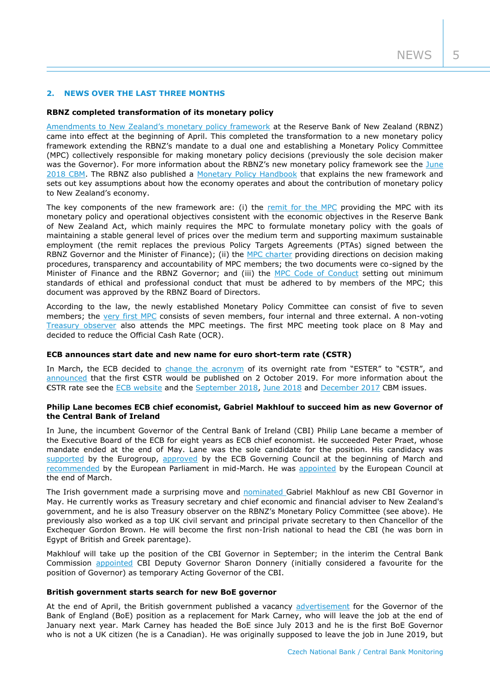# **2. NEWS OVER THE LAST THREE MONTHS**

## **RBNZ completed transformation of its monetary policy**

[Amendments to New Zealand's monetary policy framework](https://www.rbnz.govt.nz/monetary-policy/about-monetary-policy/monetary-policy-framework) at the Reserve Bank of New Zealand (RBNZ) came into effect at the beginning of April. This completed the transformation to a new monetary policy framework extending the RBNZ's mandate to a dual one and establishing a Monetary Policy Committee (MPC) collectively responsible for making monetary policy decisions (previously the sole decision maker was the Governor). For more information about the RBNZ's new monetary policy framework see the June [2018 CBM.](https://www.cnb.cz/export/sites/cnb/en/monetary-policy/.galleries/monitoring/1802_cbm.pdf) The RBNZ also published a [Monetary Policy Handbook](https://www.rbnz.govt.nz/monetary-policy/about-monetary-policy/monetary-policy-handbook) that explains the new framework and sets out key assumptions about how the economy operates and about the contribution of monetary policy to New Zealand's economy.

The key components of the new framework are: (i) the [remit for the MPC](https://www.rbnz.govt.nz/-/media/ReserveBank/Files/Monetary%20policy/About%20monetary%20policy/Remit-for-the-Monetary-Policy-Committee-April-2019.pdf?la=en&revision=a5783e23-a90b-43d5-8769-75c448eef89b) providing the MPC with its monetary policy and operational objectives consistent with the economic objectives in the Reserve Bank of New Zealand Act, which mainly requires the MPC to formulate monetary policy with the goals of maintaining a stable general level of prices over the medium term and supporting maximum sustainable employment (the remit replaces the previous Policy Targets Agreements (PTAs) signed between the RBNZ Governor and the Minister of Finance); (ii) the [MPC charter](https://www.rbnz.govt.nz/-/media/ReserveBank/Files/Monetary%20policy/About%20monetary%20policy/Monetary-Policy-Committee-Charter-April-2019.pdf?la=en&revision=33f0b2ff-3845-432e-aad5-52f73dbe65ee) providing directions on decision making procedures, transparency and accountability of MPC members; the two documents were co-signed by the Minister of Finance and the RBNZ Governor; and (iii) the [MPC Code of Conduct](https://www.rbnz.govt.nz/-/media/ReserveBank/Files/Monetary%20policy/About%20monetary%20policy/Monetary-Policy-Committee-Code-of-Conduct-April-2019.pdf?la=en&revision=91dec018-efe0-408d-a389-0432cdcbcd80) setting out minimum standards of ethical and professional conduct that must be adhered to by members of the MPC; this document was approved by the RBNZ Board of Directors.

According to the law, the newly established Monetary Policy Committee can consist of five to seven members; the [very first MPC](https://www.rbnz.govt.nz/about-us/monetary-policy-committee) consists of seven members, four internal and three external. A non-voting [Treasury observer](https://www.rbnz.govt.nz/news/2019/03/secretary-to-the-treasury-nominated-as-the-treasury-observer-on-the-monetary-policy-committee) also attends the MPC meetings. The first MPC meeting took place on 8 May and decided to reduce the Official Cash Rate (OCR).

## **ECB announces start date and new name for euro short-term rate (€STR)**

In March, the ECB decided to [change the acronym](https://www.ecb.europa.eu/press/pr/date/2019/html/ecb.pr190312~d6c6e2ba31.en.html) of its overnight rate from "ESTER" to "€STR", and [announced](https://www.ecb.europa.eu/press/pr/date/2019/html/ecb.pr190314~28790a71ef.en.html) that the first €STR would be published on 2 October 2019. For more information about the €STR rate see the [ECB website](https://www.ecb.europa.eu/paym/initiatives/interest_rate_benchmarks/euro_short-term_rate) and the [September 2018,](https://www.cnb.cz/export/sites/cnb/en/monetary-policy/.galleries/monitoring/1803_cbm.pdf) [June 2018](https://www.cnb.cz/export/sites/cnb/en/monetary-policy/.galleries/monitoring/1802_cbm.pdf) and [December 2017](https://www.cnb.cz/export/sites/cnb/en/monetary-policy/.galleries/monitoring/1704_cbm.pdf) CBM issues.

## **Philip Lane becomes ECB chief economist, Gabriel Makhlouf to succeed him as new Governor of the Central Bank of Ireland**

In June, the incumbent Governor of the Central Bank of Ireland (CBI) Philip Lane became a member of the Executive Board of the ECB for eight years as ECB chief economist. He succeeded Peter Praet, whose mandate ended at the end of May. Lane was the sole candidate for the position. His candidacy was [supported](https://www.consilium.europa.eu/en/press/press-releases/2019/02/11/ecb-executive-board-eurogroup-gives-support-to-philip-lane-s-candidacy/) by the Eurogroup, [approved](https://www.ecb.europa.eu/press/pr/date/2019/html/ecb.pr190306~2c12d54c7a.en.html) by the ECB Governing Council at the beginning of March and [recommended](http://www.europarl.europa.eu/doceo/document/TA-8-2019-0213_EN.html?redirect) by the European Parliament in mid-March. He was [appointed](https://www.consilium.europa.eu/en/press/press-releases/2019/03/22/mr-philip-r-lane-appointed-as-member-of-the-executive-board/) by the European Council at the end of March.

The Irish government made a surprising move and **nominated Gabriel Makhlouf as new CBI Governor** in May. He currently works as Treasury secretary and chief economic and financial adviser to New Zealand's government, and he is also Treasury observer on the RBNZ's Monetary Policy Committee (see above). He previously also worked as a top UK civil servant and principal private secretary to then Chancellor of the Exchequer Gordon Brown. He will become the first non-Irish national to head the CBI (he was born in Egypt of British and Greek parentage).

Makhlouf will take up the position of the CBI Governor in September; in the interim the Central Bank Commission [appointed](https://www.centralbank.ie/news/article/appointment-of-acting-governor) CBI Deputy Governor Sharon Donnery (initially considered a favourite for the position of Governor) as temporary Acting Governor of the CBI.

#### **British government starts search for new BoE governor**

At the end of April, the British government published a vacancy [advertisement](https://publicappointments.cabinetoffice.gov.uk/appointment/governor-of-the-bank-of-england/) for the Governor of the Bank of England (BoE) position as a replacement for Mark Carney, who will leave the job at the end of January next year. Mark Carney has headed the BoE since July 2013 and he is the first BoE Governor who is not a UK citizen (he is a Canadian). He was originally supposed to leave the job in June 2019, but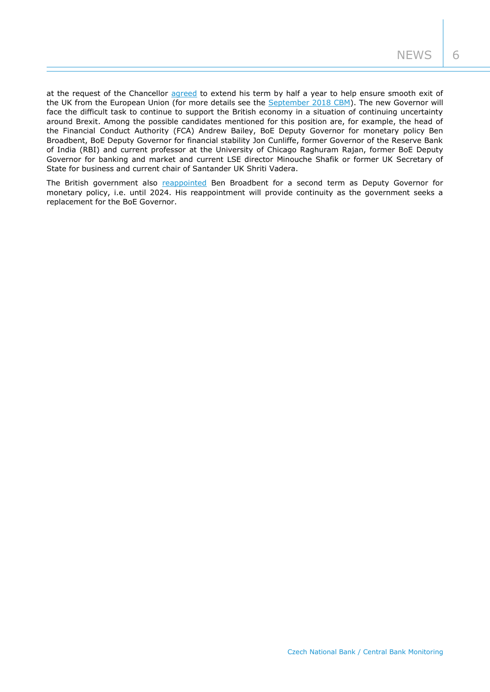at the request of the Chancellor [agreed](https://www.gov.uk/government/news/mark-carneys-term-extended-and-sir-jon-cunliffe-re-appointed-at-the-bank-of-england) to extend his term by half a year to help ensure smooth exit of the UK from the European Union (for more details see the **September 2018 CBM)**. The new Governor will face the difficult task to continue to support the British economy in a situation of continuing uncertainty around Brexit. Among the possible candidates mentioned for this position are, for example, the head of the Financial Conduct Authority (FCA) Andrew Bailey, BoE Deputy Governor for monetary policy Ben Broadbent, BoE Deputy Governor for financial stability Jon Cunliffe, former Governor of the Reserve Bank of India (RBI) and current professor at the University of Chicago Raghuram Rajan, former BoE Deputy Governor for banking and market and current LSE director Minouche Shafik or former UK Secretary of State for business and current chair of Santander UK Shriti Vadera.

The British government also [reappointed](https://www.bankofengland.co.uk/news/2019/may/ben-broadbent-reappointed-and-neds-announced) Ben Broadbent for a second term as Deputy Governor for monetary policy, i.e. until 2024. His reappointment will provide continuity as the government seeks a replacement for the BoE Governor.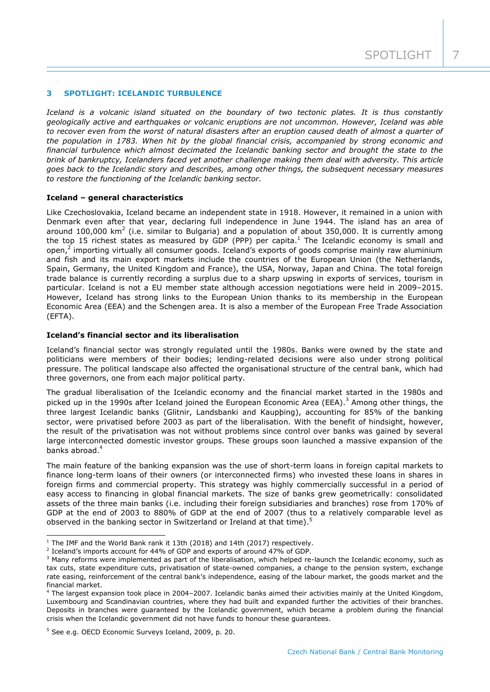## **3 SPOTLIGHT: ICELANDIC TURBULENCE**

*Iceland is a volcanic island situated on the boundary of two tectonic plates. It is thus constantly geologically active and earthquakes or volcanic eruptions are not uncommon. However, Iceland was able to recover even from the worst of natural disasters after an eruption caused death of almost a quarter of the population in 1783. When hit by the global financial crisis, accompanied by strong economic and financial turbulence which almost decimated the Icelandic banking sector and brought the state to the brink of bankruptcy, Icelanders faced yet another challenge making them deal with adversity. This article goes back to the Icelandic story and describes, among other things, the subsequent necessary measures to restore the functioning of the Icelandic banking sector.*

#### **Iceland – general characteristics**

Like Czechoslovakia, Iceland became an independent state in 1918. However, it remained in a union with Denmark even after that year, declaring full independence in June 1944. The island has an area of around 100,000  $km^2$  (i.e. similar to Bulgaria) and a population of about 350,000. It is currently among the top 15 richest states as measured by GDP (PPP) per capita.<sup>1</sup> The Icelandic economy is small and open, $^2$  importing virtually all consumer goods. Iceland's exports of goods comprise mainly raw aluminium and fish and its main export markets include the countries of the European Union (the Netherlands, Spain, Germany, the United Kingdom and France), the USA, Norway, Japan and China. The total foreign trade balance is currently recording a surplus due to a sharp upswing in exports of services, tourism in particular. Iceland is not a EU member state although accession negotiations were held in 2009–2015. However, Iceland has strong links to the European Union thanks to its membership in the European Economic Area (EEA) and the Schengen area. It is also a member of the European Free Trade Association (EFTA).

#### **Iceland's financial sector and its liberalisation**

Iceland's financial sector was strongly regulated until the 1980s. Banks were owned by the state and politicians were members of their bodies; lending-related decisions were also under strong political pressure. The political landscape also affected the organisational structure of the central bank, which had three governors, one from each major political party.

The gradual liberalisation of the Icelandic economy and the financial market started in the 1980s and picked up in the 1990s after Iceland joined the European Economic Area (EEA).<sup>3</sup> Among other things, the three largest Icelandic banks (Glitnir, Landsbanki and Kaupþing), accounting for 85% of the banking sector, were privatised before 2003 as part of the liberalisation. With the benefit of hindsight, however, the result of the privatisation was not without problems since control over banks was gained by several large interconnected domestic investor groups. These groups soon launched a massive expansion of the banks abroad.<sup>4</sup>

The main feature of the banking expansion was the use of short-term loans in foreign capital markets to finance long-term loans of their owners (or interconnected firms) who invested these loans in shares in foreign firms and commercial property. This strategy was highly commercially successful in a period of easy access to financing in global financial markets. The size of banks grew geometrically: consolidated assets of the three main banks (i.e. including their foreign subsidiaries and branches) rose from 170% of GDP at the end of 2003 to 880% of GDP at the end of 2007 (thus to a relatively comparable level as observed in the banking sector in Switzerland or Ireland at that time).<sup>5</sup>

-

 $1$  The IMF and the World Bank rank it 13th (2018) and 14th (2017) respectively.

 $2$  Iceland's imports account for 44% of GDP and exports of around 47% of GDP.

<sup>&</sup>lt;sup>3</sup> Many reforms were implemented as part of the liberalisation, which helped re-launch the Icelandic economy, such as tax cuts, state expenditure cuts, privatisation of state-owned companies, a change to the pension system, exchange rate easing, reinforcement of the central bank's independence, easing of the labour market, the goods market and the financial market.

<sup>4</sup> The largest expansion took place in 2004–2007. Icelandic banks aimed their activities mainly at the United Kingdom, Luxembourg and Scandinavian countries, where they had built and expanded further the activities of their branches. Deposits in branches were guaranteed by the Icelandic government, which became a problem during the financial crisis when the Icelandic government did not have funds to honour these guarantees.

<sup>5</sup> See e.g. OECD Economic Surveys Iceland, 2009, p. 20.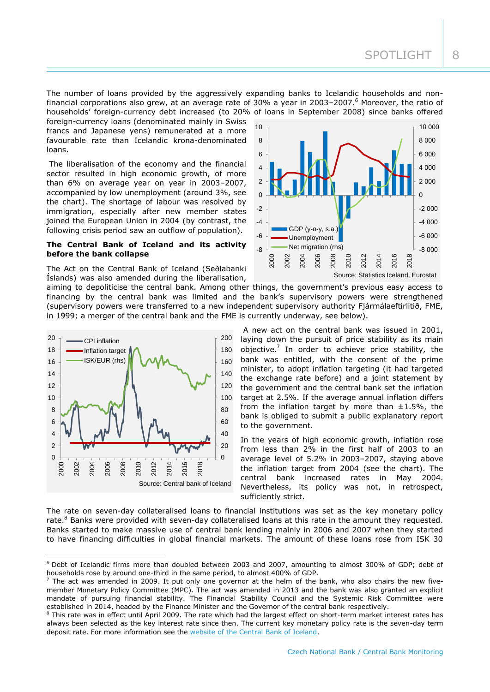The number of loans provided by the aggressively expanding banks to Icelandic households and nonfinancial corporations also grew, at an average rate of 30% a year in 2003-2007.<sup>6</sup> Moreover, the ratio of households' foreign-currency debt increased (to 20% of loans in September 2008) since banks offered

foreign-currency loans (denominated mainly in Swiss francs and Japanese yens) remunerated at a more favourable rate than Icelandic krona-denominated loans.

The liberalisation of the economy and the financial sector resulted in high economic growth, of more than 6% on average year on year in 2003–2007, accompanied by low unemployment (around 3%, see the chart). The shortage of labour was resolved by immigration, especially after new member states joined the European Union in 2004 (by contrast, the following crisis period saw an outflow of population).

## **The Central Bank of Iceland and its activity before the bank collapse**

The Act on the Central Bank of Iceland (Seðlabanki Íslands) was also amended during the liberalisation,



aiming to depoliticise the central bank. Among other things, the government's previous easy access to financing by the central bank was limited and the bank's supervisory powers were strengthened (supervisory powers were transferred to a new independent supervisory authority Fjármálaeftirlitið, FME, in 1999; a merger of the central bank and the FME is currently underway, see below).



-



In the years of high economic growth, inflation rose from less than 2% in the first half of 2003 to an average level of 5.2% in 2003–2007, staying above the inflation target from 2004 (see the chart). The central bank increased rates in May 2004. Nevertheless, its policy was not, in retrospect, sufficiently strict.

The rate on seven-day collateralised loans to financial institutions was set as the key monetary policy rate.<sup>8</sup> Banks were provided with seven-day collateralised loans at this rate in the amount they requested. Banks started to make massive use of central bank lending mainly in 2006 and 2007 when they started to have financing difficulties in global financial markets. The amount of these loans rose from ISK 30

<sup>6</sup> Debt of Icelandic firms more than doubled between 2003 and 2007, amounting to almost 300% of GDP; debt of households rose by around one-third in the same period, to almost 400% of GDP.

 $^7$  The act was amended in 2009. It put only one governor at the helm of the bank, who also chairs the new fivemember Monetary Policy Committee (MPC). The act was amended in 2013 and the bank was also granted an explicit mandate of pursuing financial stability. The Financial Stability Council and the Systemic Risk Committee were established in 2014, headed by the Finance Minister and the Governor of the central bank respectively.

<sup>&</sup>lt;sup>8</sup> This rate was in effect until April 2009. The rate which had the largest effect on short-term market interest rates has always been selected as the key interest rate since then. The current key monetary policy rate is the seven-day term deposit rate. For more information see the [website of the Central Bank of Iceland.](https://www.cb.is/other/key-interest-rates/)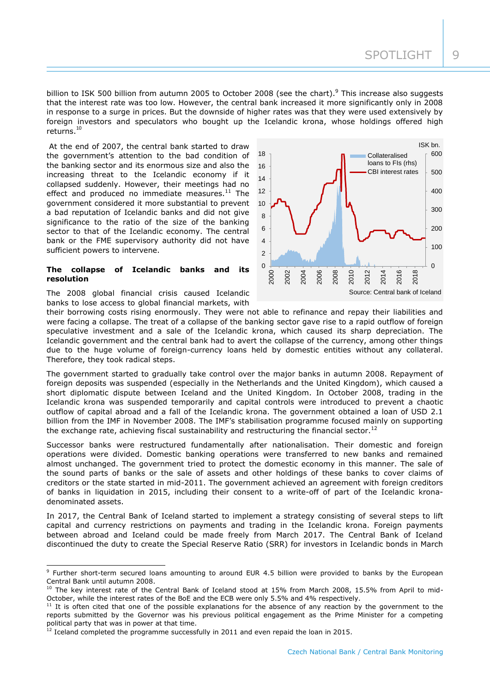ISK bn.

billion to ISK 500 billion from autumn 2005 to October 2008 (see the chart).<sup>9</sup> This increase also suggests that the interest rate was too low. However, the central bank increased it more significantly only in 2008 in response to a surge in prices. But the downside of higher rates was that they were used extensively by foreign investors and speculators who bought up the Icelandic krona, whose holdings offered high returns.<sup>10</sup>

At the end of 2007, the central bank started to draw the government's attention to the bad condition of the banking sector and its enormous size and also the increasing threat to the Icelandic economy if it collapsed suddenly. However, their meetings had no effect and produced no immediate measures. $11$  The government considered it more substantial to prevent a bad reputation of Icelandic banks and did not give significance to the ratio of the size of the banking sector to that of the Icelandic economy. The central bank or the FME supervisory authority did not have sufficient powers to intervene.

#### **The collapse of Icelandic banks and its resolution**

The 2008 global financial crisis caused Icelandic banks to lose access to global financial markets, with

-

 $\Omega$ 100 200 300 400 500  $600$  $\overline{0}$ 2 4 6 8 10 12 14 16 18 2000 2002 2004 2006 2008 2010  $\overline{201}$ 2014 <u>ମ</u> 2018 Collateralised loans to FIs (rhs) CBI interest rates Source: Central bank of Iceland

their borrowing costs rising enormously. They were not able to refinance and repay their liabilities and were facing a collapse. The treat of a collapse of the banking sector gave rise to a rapid outflow of foreign speculative investment and a sale of the Icelandic krona, which caused its sharp depreciation. The Icelandic government and the central bank had to avert the collapse of the currency, among other things due to the huge volume of foreign-currency loans held by domestic entities without any collateral. Therefore, they took radical steps.

The government started to gradually take control over the major banks in autumn 2008. Repayment of foreign deposits was suspended (especially in the Netherlands and the United Kingdom), which caused a short diplomatic dispute between Iceland and the United Kingdom. In October 2008, trading in the Icelandic krona was suspended temporarily and capital controls were introduced to prevent a chaotic outflow of capital abroad and a fall of the Icelandic krona. The government obtained a loan of USD 2.1 billion from the IMF in November 2008. The IMF's stabilisation programme focused mainly on supporting the exchange rate, achieving fiscal sustainability and restructuring the financial sector.<sup>12</sup>

Successor banks were restructured fundamentally after nationalisation. Their domestic and foreign operations were divided. Domestic banking operations were transferred to new banks and remained almost unchanged. The government tried to protect the domestic economy in this manner. The sale of the sound parts of banks or the sale of assets and other holdings of these banks to cover claims of creditors or the state started in mid-2011. The government achieved an agreement with foreign creditors of banks in liquidation in 2015, including their consent to a write-off of part of the Icelandic kronadenominated assets.

In 2017, the Central Bank of Iceland started to implement a strategy consisting of several steps to lift capital and currency restrictions on payments and trading in the Icelandic krona. Foreign payments between abroad and Iceland could be made freely from March 2017. The Central Bank of Iceland discontinued the duty to create the Special Reserve Ratio (SRR) for investors in Icelandic bonds in March

<sup>&</sup>lt;sup>9</sup> Further short-term secured loans amounting to around EUR 4.5 billion were provided to banks by the European Central Bank until autumn 2008.

 $10$  The key interest rate of the Central Bank of Iceland stood at 15% from March 2008, 15.5% from April to mid-October, while the interest rates of the BoE and the ECB were only 5.5% and 4% respectively.

 $11$  It is often cited that one of the possible explanations for the absence of any reaction by the government to the reports submitted by the Governor was his previous political engagement as the Prime Minister for a competing political party that was in power at that time.

 $12$  Iceland completed the programme successfully in 2011 and even repaid the loan in 2015.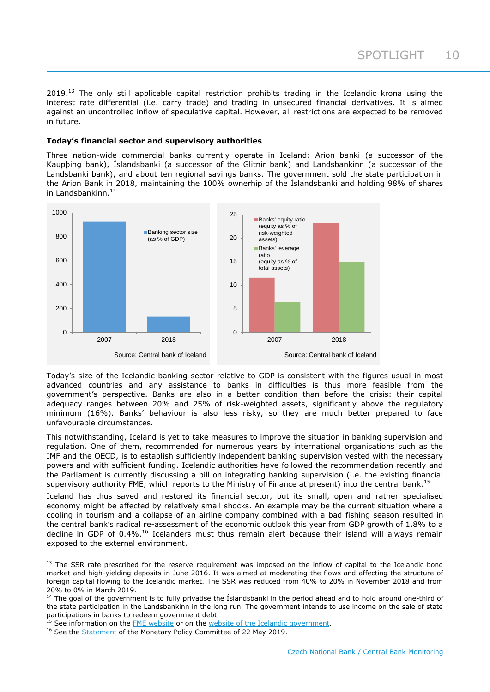SPOTLIGHT 10

2019.<sup>13</sup> The only still applicable capital restriction prohibits trading in the Icelandic krona using the interest rate differential (i.e. carry trade) and trading in unsecured financial derivatives. It is aimed against an uncontrolled inflow of speculative capital. However, all restrictions are expected to be removed in future.

## **Today's financial sector and supervisory authorities**

Three nation-wide commercial banks currently operate in Iceland: Arion banki (a successor of the Kaupþing bank), Íslandsbanki (a successor of the Glitnir bank) and Landsbankinn (a successor of the Landsbanki bank), and about ten regional savings banks. The government sold the state participation in the Arion Bank in 2018, maintaining the 100% ownerhip of the Íslandsbanki and holding 98% of shares in Landsbankinn. $14$ 



Today's size of the Icelandic banking sector relative to GDP is consistent with the figures usual in most advanced countries and any assistance to banks in difficulties is thus more feasible from the government's perspective. Banks are also in a better condition than before the crisis: their capital adequacy ranges between 20% and 25% of risk-weighted assets, significantly above the regulatory minimum (16%). Banks' behaviour is also less risky, so they are much better prepared to face unfavourable circumstances.

This notwithstanding, Iceland is yet to take measures to improve the situation in banking supervision and regulation. One of them, recommended for numerous years by international organisations such as the IMF and the OECD, is to establish sufficiently independent banking supervision vested with the necessary powers and with sufficient funding. Icelandic authorities have followed the recommendation recently and the Parliament is currently discussing a bill on integrating banking supervision (i.e. the existing financial supervisory authority FME, which reports to the Ministry of Finance at present) into the central bank.<sup>15</sup>

Iceland has thus saved and restored its financial sector, but its small, open and rather specialised economy might be affected by relatively small shocks. An example may be the current situation where a cooling in tourism and a collapse of an airline company combined with a bad fishing season resulted in the central bank's radical re-assessment of the economic outlook this year from GDP growth of 1.8% to a decline in GDP of 0.4%.<sup>16</sup> Icelanders must thus remain alert because their island will always remain exposed to the external environment.

-

<sup>&</sup>lt;sup>13</sup> The SSR rate prescribed for the reserve requirement was imposed on the inflow of capital to the Icelandic bond market and high-yielding deposits in June 2016. It was aimed at moderating the flows and affecting the structure of foreign capital flowing to the Icelandic market. The SSR was reduced from 40% to 20% in November 2018 and from 20% to 0% in March 2019.

<sup>&</sup>lt;sup>14</sup> The goal of the government is to fully privatise the Islandsbanki in the period ahead and to hold around one-third of the state participation in the Landsbankinn in the long run. The government intends to use income on the sale of state participations in banks to redeem government debt.

<sup>&</sup>lt;sup>15</sup> See information on the **FME** website or on the [website of the Icelandic government.](https://www.government.is/news/article/2018/10/11/Merger-of-Central-Bank-of-Iceland-and-Financial-Supervisory-Authority-in-preparation-Inflation-targeting-to-remain-the-principal-objective-of-monetary-policy/)

<sup>&</sup>lt;sup>16</sup> See the **Statement** of the Monetary Policy Committee of 22 May 2019.